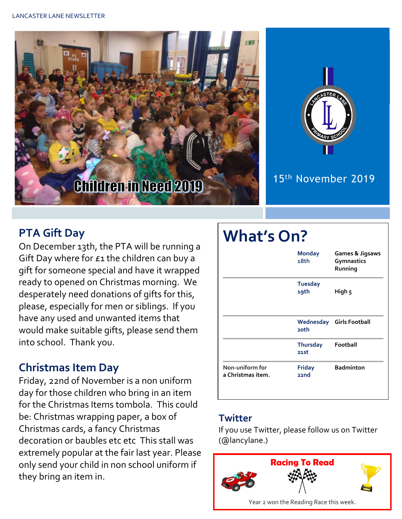



# 15th November 2019

# **PTA Gift Day**

On December 13th, the PTA will be running a Gift Day where for £1 the children can buy a gift for someone special and have it wrapped ready to opened on Christmas morning. We desperately need donations of gifts for this, please, especially for men or siblings. If you have any used and unwanted items that would make suitable gifts, please send them into school. Thank you.

## **Christmas Item Day**

Friday, 22nd of November is a non uniform day for those children who bring in an item for the Christmas Items tombola. This could be: Christmas wrapping paper, a box of Christmas cards, a fancy Christmas decoration or baubles etc etc This stall was extremely popular at the fair last year. Please only send your child in non school uniform if they bring an item in.



#### **Twitter**

If you use Twitter, please follow us on Twitter (@lancylane.)

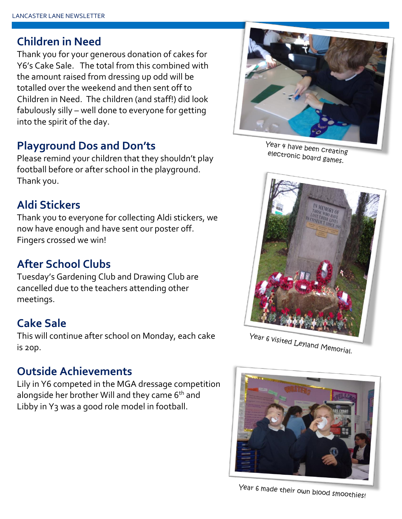#### **Children in Need**

Thank you for your generous donation of cakes for Y6's Cake Sale. The total from this combined with the amount raised from dressing up odd will be totalled over the weekend and then sent off to Children in Need. The children (and staff!) did look fabulously silly – well done to everyone for getting into the spirit of the day.

#### **Playground Dos and Don'ts**

Please remind your children that they shouldn't play football before or after school in the playground. Thank you.

# **Aldi Stickers**

Thank you to everyone for collecting Aldi stickers, we now have enough and have sent our poster off. Fingers crossed we win!

# **After School Clubs**

Tuesday's Gardening Club and Drawing Club are cancelled due to the teachers attending other meetings.

## **Cake Sale**

This will continue after school on Monday, each cake is 20p.

#### **Outside Achievements**

Lily in Y6 competed in the MGA dressage competition alongside her brother Will and they came 6<sup>th</sup> and Libby in Y3 was a good role model in football.



Year 4 have been creating electronic been Creatin



Year 6 visited Leyland Memorial.



Year 6 made their own blood smoothies!